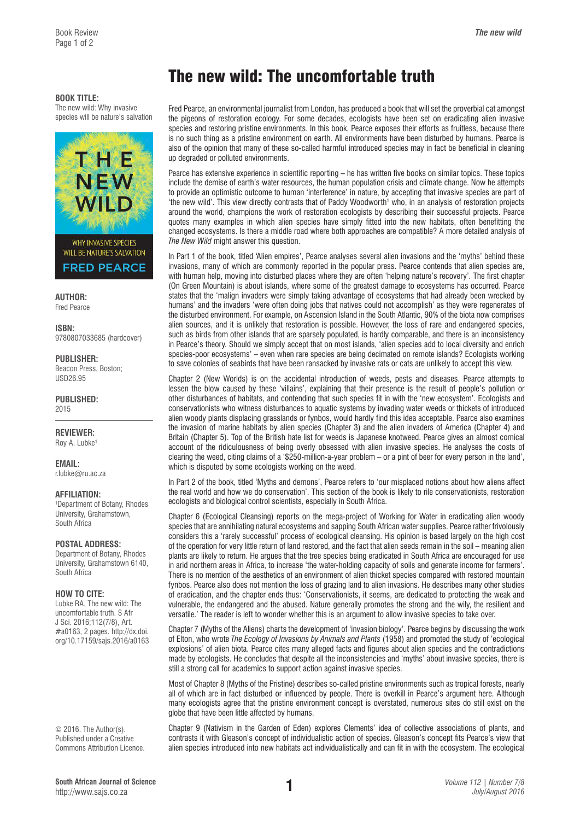#### **BOOK TITLE:**

The new wild: Why invasive species will be nature's salvation



**AUTHOR:**  Fred Pearce

**ISBN:** 

9780807033685 (hardcover)

**PUBLISHER:**  Beacon Press, Boston; USD26.95

**PUBLISHED:**  2015

**REVIEWER:**  Roy A. Lubke<sup>1</sup>

**EMAIL:**  [r.lubke@ru.ac.za](mailto:r.lubke@ru.ac.za)

#### **AFFILIATION:**

1 Department of Botany, Rhodes University, Grahamstown, South Africa

### **POSTAL ADDRESS:**

Department of Botany, Rhodes University, Grahamstown 6140, South Africa

### **HOW TO CITE:**

Lubke RA. The new wild: The uncomfortable truth. S Afr J Sci. 2016;112(7/8), Art. #a0163, 2 pages. [http://dx.doi.](http://dx.doi.org/10.17159/sajs.2016/a0163) [org/10.17159/sajs.2016/a0163](http://dx.doi.org/10.17159/sajs.2016/a0163)

© 2016. The Author(s). Published under a Creative Commons Attribution Licence.

# The new wild: The uncomfortable truth

Fred Pearce, an environmental journalist from London, has produced a book that will set the proverbial cat amongst the pigeons of restoration ecology. For some decades, ecologists have been set on eradicating alien invasive species and restoring pristine environments. In this book, Pearce exposes their efforts as fruitless, because there is no such thing as a pristine environment on earth. All environments have been disturbed by humans. Pearce is also of the opinion that many of these so-called harmful introduced species may in fact be beneficial in cleaning up degraded or polluted environments.

Pearce has extensive experience in scientific reporting – he has written five books on similar topics. These topics include the demise of earth's water resources, the human population crisis and climate change. Now he attempts to provide an optimistic outcome to human 'interference' in nature, by accepting that invasive species are part of 'the new wild'. This view directly contrasts that of Paddy Woodworth<sup>1</sup> who, in an analysis of restoration projects around the world, champions the work of restoration ecologists by describing their successful projects. Pearce quotes many examples in which alien species have simply fitted into the new habitats, often benefitting the changed ecosystems. Is there a middle road where both approaches are compatible? A more detailed analysis of *The New Wild* might answer this question.

In Part 1 of the book, titled 'Alien empires', Pearce analyses several alien invasions and the 'myths' behind these invasions, many of which are commonly reported in the popular press. Pearce contends that alien species are, with human help, moving into disturbed places where they are often 'helping nature's recovery'. The first chapter (On Green Mountain) is about islands, where some of the greatest damage to ecosystems has occurred. Pearce states that the 'malign invaders were simply taking advantage of ecosystems that had already been wrecked by humans' and the invaders 'were often doing jobs that natives could not accomplish' as they were regenerates of the disturbed environment. For example, on Ascension Island in the South Atlantic, 90% of the biota now comprises alien sources, and it is unlikely that restoration is possible. However, the loss of rare and endangered species, such as birds from other islands that are sparsely populated, is hardly comparable, and there is an inconsistency in Pearce's theory. Should we simply accept that on most islands, 'alien species add to local diversity and enrich species-poor ecosystems' – even when rare species are being decimated on remote islands? Ecologists working to save colonies of seabirds that have been ransacked by invasive rats or cats are unlikely to accept this view.

Chapter 2 (New Worlds) is on the accidental introduction of weeds, pests and diseases. Pearce attempts to lessen the blow caused by these 'villains', explaining that their presence is the result of people's pollution or other disturbances of habitats, and contending that such species fit in with the 'new ecosystem'. Ecologists and conservationists who witness disturbances to aquatic systems by invading water weeds or thickets of introduced alien woody plants displacing grasslands or fynbos, would hardly find this idea acceptable. Pearce also examines the invasion of marine habitats by alien species (Chapter 3) and the alien invaders of America (Chapter 4) and Britain (Chapter 5). Top of the British hate list for weeds is Japanese knotweed. Pearce gives an almost comical account of the ridiculousness of being overly obsessed with alien invasive species. He analyses the costs of clearing the weed, citing claims of a '\$250-million-a-year problem – or a pint of beer for every person in the land', which is disputed by some ecologists working on the weed.

In Part 2 of the book, titled 'Myths and demons', Pearce refers to 'our misplaced notions about how aliens affect the real world and how we do conservation'. This section of the book is likely to rile conservationists, restoration ecologists and biological control scientists, especially in South Africa.

Chapter 6 (Ecological Cleansing) reports on the mega-project of Working for Water in eradicating alien woody species that are annihilating natural ecosystems and sapping South African water supplies. Pearce rather frivolously considers this a 'rarely successful' process of ecological cleansing. His opinion is based largely on the high cost of the operation for very little return of land restored, and the fact that alien seeds remain in the soil – meaning alien plants are likely to return. He argues that the tree species being eradicated in South Africa are encouraged for use in arid northern areas in Africa, to increase 'the water-holding capacity of soils and generate income for farmers'. There is no mention of the aesthetics of an environment of alien thicket species compared with restored mountain fynbos. Pearce also does not mention the loss of grazing land to alien invasions. He describes many other studies of eradication, and the chapter ends thus: 'Conservationists, it seems, are dedicated to protecting the weak and vulnerable, the endangered and the abused. Nature generally promotes the strong and the wily, the resilient and versatile.' The reader is left to wonder whether this is an argument to allow invasive species to take over.

Chapter 7 (Myths of the Aliens) charts the development of 'invasion biology'. Pearce begins by discussing the work of Elton, who wrote *The Ecology of Invasions by Animals and Plants* (1958) and promoted the study of 'ecological explosions' of alien biota. Pearce cites many alleged facts and figures about alien species and the contradictions made by ecologists. He concludes that despite all the inconsistencies and 'myths' about invasive species, there is still a strong call for academics to support action against invasive species.

Most of Chapter 8 (Myths of the Pristine) describes so-called pristine environments such as tropical forests, nearly all of which are in fact disturbed or influenced by people. There is overkill in Pearce's argument here. Although many ecologists agree that the pristine environment concept is overstated, numerous sites do still exist on the globe that have been little affected by humans.

Chapter 9 (Nativism in the Garden of Eden) explores Clements' idea of collective associations of plants, and contrasts it with Gleason's concept of individualistic action of species. Gleason's concept fits Pearce's view that alien species introduced into new habitats act individualistically and can fit in with the ecosystem. The ecological